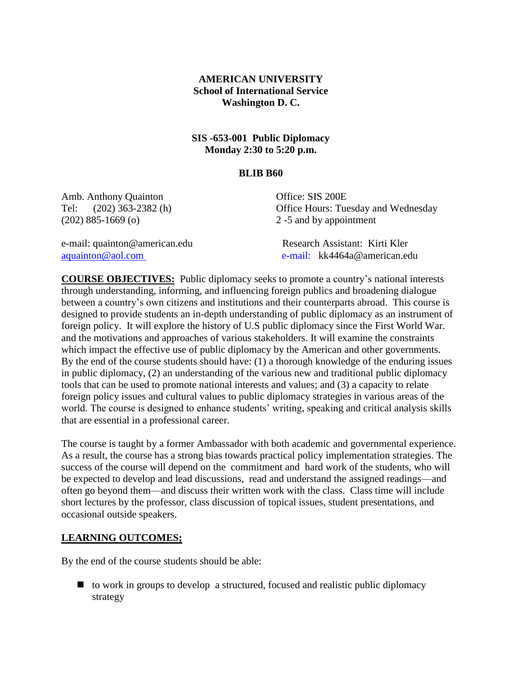## **AMERICAN UNIVERSITY School of International Service Washington D. C.**

## **SIS -653-001 Public Diplomacy Monday 2:30 to 5:20 p.m.**

#### **BLIB B60**

Amb. Anthony Quainton Office: SIS 200E (202) 885-1669 (o) 2 -5 and by appointment

Tel: (202) 363-2382 (h) Office Hours: Tuesday and Wednesday

e-mail: quainton@american.edu Research Assistant: Kirti Kler

[aquainton@aol.com](mailto:aquainton@aol.com) e-mail: kk4464a@american.edu

**COURSE OBJECTIVES:** Public diplomacy seeks to promote a country's national interests through understanding, informing, and influencing foreign publics and broadening dialogue between a country's own citizens and institutions and their counterparts abroad. This course is designed to provide students an in-depth understanding of public diplomacy as an instrument of foreign policy. It will explore the history of U.S public diplomacy since the First World War. and the motivations and approaches of various stakeholders. It will examine the constraints which impact the effective use of public diplomacy by the American and other governments. By the end of the course students should have: (1) a thorough knowledge of the enduring issues in public diplomacy, (2) an understanding of the various new and traditional public diplomacy tools that can be used to promote national interests and values; and (3) a capacity to relate foreign policy issues and cultural values to public diplomacy strategies in various areas of the world. The course is designed to enhance students' writing, speaking and critical analysis skills that are essential in a professional career.

The course is taught by a former Ambassador with both academic and governmental experience. As a result, the course has a strong bias towards practical policy implementation strategies. The success of the course will depend on the commitment and hard work of the students, who will be expected to develop and lead discussions, read and understand the assigned readings—and often go beyond them—and discuss their written work with the class. Class time will include short lectures by the professor, class discussion of topical issues, student presentations, and occasional outside speakers.

## **LEARNING OUTCOMES;**

By the end of the course students should be able:

 $\Box$  to work in groups to develop a structured, focused and realistic public diplomacy strategy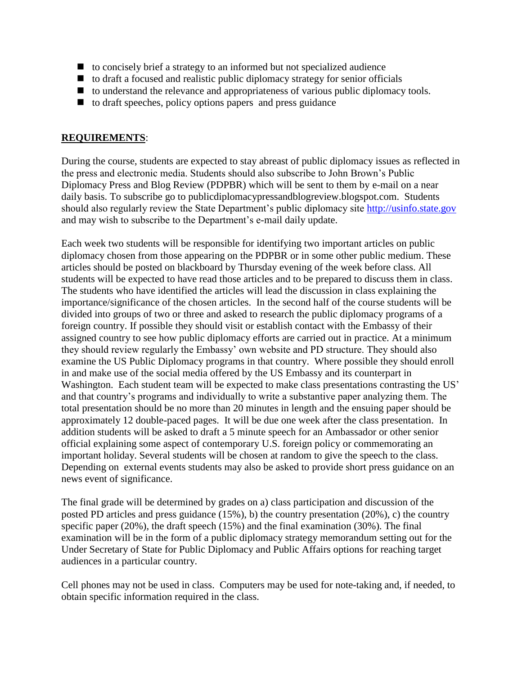- $\blacksquare$  to concisely brief a strategy to an informed but not specialized audience
- $\Box$  to draft a focused and realistic public diplomacy strategy for senior officials
- $\blacksquare$  to understand the relevance and appropriateness of various public diplomacy tools.
- $\blacksquare$  to draft speeches, policy options papers and press guidance

### **REQUIREMENTS**:

During the course, students are expected to stay abreast of public diplomacy issues as reflected in the press and electronic media. Students should also subscribe to John Brown's Public Diplomacy Press and Blog Review (PDPBR) which will be sent to them by e-mail on a near daily basis. To subscribe go to publicdiplomacypressandblogreview.blogspot.com. Students should also regularly review the State Department's public diplomacy site [http://usinfo.state.gov](http://usinfo.state.gov/) and may wish to subscribe to the Department's e-mail daily update.

Each week two students will be responsible for identifying two important articles on public diplomacy chosen from those appearing on the PDPBR or in some other public medium. These articles should be posted on blackboard by Thursday evening of the week before class. All students will be expected to have read those articles and to be prepared to discuss them in class. The students who have identified the articles will lead the discussion in class explaining the importance/significance of the chosen articles. In the second half of the course students will be divided into groups of two or three and asked to research the public diplomacy programs of a foreign country. If possible they should visit or establish contact with the Embassy of their assigned country to see how public diplomacy efforts are carried out in practice. At a minimum they should review regularly the Embassy' own website and PD structure. They should also examine the US Public Diplomacy programs in that country. Where possible they should enroll in and make use of the social media offered by the US Embassy and its counterpart in Washington. Each student team will be expected to make class presentations contrasting the US' and that country's programs and individually to write a substantive paper analyzing them. The total presentation should be no more than 20 minutes in length and the ensuing paper should be approximately 12 double-paced pages. It will be due one week after the class presentation. In addition students will be asked to draft a 5 minute speech for an Ambassador or other senior official explaining some aspect of contemporary U.S. foreign policy or commemorating an important holiday. Several students will be chosen at random to give the speech to the class. Depending on external events students may also be asked to provide short press guidance on an news event of significance.

The final grade will be determined by grades on a) class participation and discussion of the posted PD articles and press guidance (15%), b) the country presentation (20%), c) the country specific paper (20%), the draft speech (15%) and the final examination (30%). The final examination will be in the form of a public diplomacy strategy memorandum setting out for the Under Secretary of State for Public Diplomacy and Public Affairs options for reaching target audiences in a particular country.

Cell phones may not be used in class. Computers may be used for note-taking and, if needed, to obtain specific information required in the class.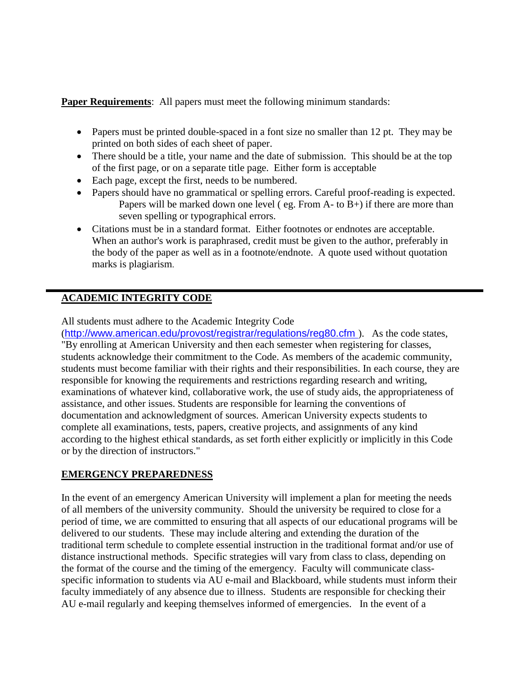**Paper Requirements:** All papers must meet the following minimum standards:

- Papers must be printed double-spaced in a font size no smaller than 12 pt. They may be printed on both sides of each sheet of paper.
- There should be a title, your name and the date of submission. This should be at the top of the first page, or on a separate title page. Either form is acceptable
- Each page, except the first, needs to be numbered.
- Papers should have no grammatical or spelling errors. Careful proof-reading is expected. Papers will be marked down one level (eg. From A- to  $\overline{B}$ +) if there are more than seven spelling or typographical errors.
- Citations must be in a standard format. Either footnotes or endnotes are acceptable. When an author's work is paraphrased, credit must be given to the author, preferably in the body of the paper as well as in a footnote/endnote. A quote used without quotation marks is plagiarism.

## **ACADEMIC INTEGRITY CODE**

All students must adhere to the Academic Integrity Code

(<http://www.american.edu/provost/registrar/regulations/reg80.cfm>). As the code states, "By enrolling at American University and then each semester when registering for classes, students acknowledge their commitment to the Code. As members of the academic community, students must become familiar with their rights and their responsibilities. In each course, they are responsible for knowing the requirements and restrictions regarding research and writing, examinations of whatever kind, collaborative work, the use of study aids, the appropriateness of assistance, and other issues. Students are responsible for learning the conventions of documentation and acknowledgment of sources. American University expects students to complete all examinations, tests, papers, creative projects, and assignments of any kind according to the highest ethical standards, as set forth either explicitly or implicitly in this Code or by the direction of instructors."

## **EMERGENCY PREPAREDNESS**

In the event of an emergency American University will implement a plan for meeting the needs of all members of the university community. Should the university be required to close for a period of time, we are committed to ensuring that all aspects of our educational programs will be delivered to our students. These may include altering and extending the duration of the traditional term schedule to complete essential instruction in the traditional format and/or use of distance instructional methods. Specific strategies will vary from class to class, depending on the format of the course and the timing of the emergency. Faculty will communicate classspecific information to students via AU e-mail and Blackboard, while students must inform their faculty immediately of any absence due to illness. Students are responsible for checking their AU e-mail regularly and keeping themselves informed of emergencies. In the event of a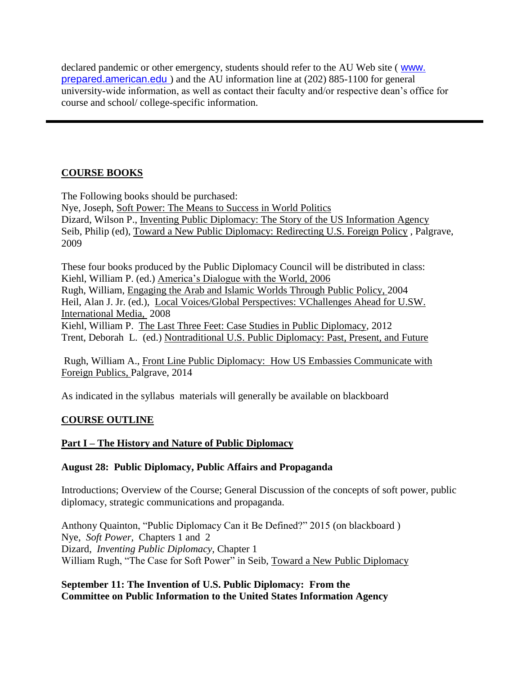declared pandemic or other emergency, students should refer to the AU Web site ( [www.](http://www.american.edu/)  [prepared.american.edu](http://www.american.edu/) ) and the AU information line at (202) 885-1100 for general university-wide information, as well as contact their faculty and/or respective dean's office for course and school/ college-specific information.

# **COURSE BOOKS**

The Following books should be purchased: Nye, Joseph, Soft Power: The Means to Success in World Politics Dizard, Wilson P., Inventing Public Diplomacy: The Story of the US Information Agency Seib, Philip (ed), Toward a New Public Diplomacy: Redirecting U.S. Foreign Policy , Palgrave, 2009

These four books produced by the Public Diplomacy Council will be distributed in class: Kiehl, William P. (ed.) America's Dialogue with the World, 2006 Rugh, William, Engaging the Arab and Islamic Worlds Through Public Policy, 2004 Heil, Alan J. Jr. (ed.), Local Voices/Global Perspectives: VChallenges Ahead for U.SW. International Media, 2008 Kiehl, William P. The Last Three Feet: Case Studies in Public Diplomacy, 2012 Trent, Deborah L. (ed.) Nontraditional U.S. Public Diplomacy: Past, Present, and Future

Rugh, William A., Front Line Public Diplomacy: How US Embassies Communicate with Foreign Publics, Palgrave, 2014

As indicated in the syllabus materials will generally be available on blackboard

# **COURSE OUTLINE**

## **Part I – The History and Nature of Public Diplomacy**

## **August 28: Public Diplomacy, Public Affairs and Propaganda**

Introductions; Overview of the Course; General Discussion of the concepts of soft power, public diplomacy, strategic communications and propaganda.

Anthony Quainton, "Public Diplomacy Can it Be Defined?" 2015 (on blackboard ) Nye, *Soft Power,* Chapters 1 and 2 Dizard, *Inventing Public Diplomacy*, Chapter 1 William Rugh, "The Case for Soft Power" in Seib, Toward a New Public Diplomacy

## **September 11: The Invention of U.S. Public Diplomacy: From the Committee on Public Information to the United States Information Agency**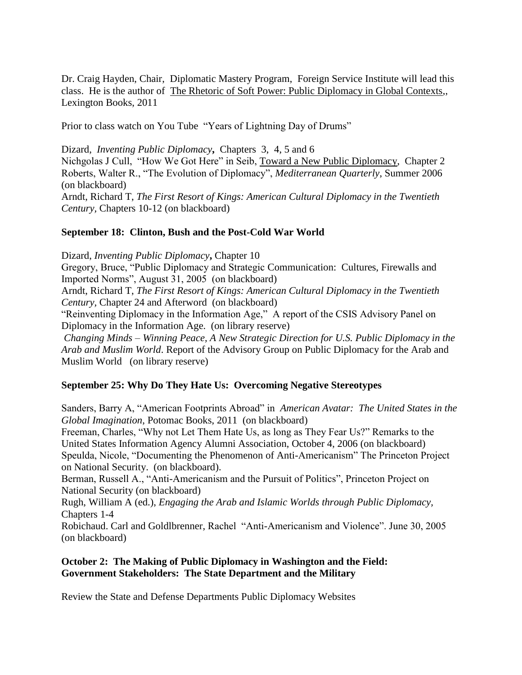Dr. Craig Hayden, Chair, Diplomatic Mastery Program, Foreign Service Institute will lead this class. He is the author of The Rhetoric of Soft Power: Public Diplomacy in Global Contexts,, Lexington Books, 2011

Prior to class watch on You Tube "Years of Lightning Day of Drums"

Dizard,*Inventing Public Diplomacy***,** Chapters 3, 4, 5 and 6

Nichgolas J Cull, "How We Got Here" in Seib, Toward a New Public Diplomacy, Chapter 2 Roberts, Walter R., "The Evolution of Diplomacy", *Mediterranean Quarterly*, Summer 2006 (on blackboard)

Arndt, Richard T, *The First Resort of Kings: American Cultural Diplomacy in the Twentieth Century,* Chapters 10-12 (on blackboard)

#### **September 18: Clinton, Bush and the Post-Cold War World**

Dizard, *Inventing Public Diplomacy***,** Chapter 10 Gregory, Bruce, "Public Diplomacy and Strategic Communication: Cultures, Firewalls and Imported Norms", August 31, 2005 (on blackboard) Arndt, Richard T, *The First Resort of Kings: American Cultural Diplomacy in the Twentieth Century,* Chapter 24 and Afterword (on blackboard)

"Reinventing Diplomacy in the Information Age," A report of the CSIS Advisory Panel on Diplomacy in the Information Age. (on library reserve)

*Changing Minds – Winning Peace, A New Strategic Direction for U.S. Public Diplomacy in the Arab and Muslim World*. Report of the Advisory Group on Public Diplomacy for the Arab and Muslim World (on library reserve)

#### **September 25: Why Do They Hate Us: Overcoming Negative Stereotypes**

Sanders, Barry A, "American Footprints Abroad" in *American Avatar: The United States in the Global Imagination*, Potomac Books, 2011 (on blackboard)

Freeman, Charles, "Why not Let Them Hate Us, as long as They Fear Us?" Remarks to the United States Information Agency Alumni Association, October 4, 2006 (on blackboard) Speulda, Nicole, "Documenting the Phenomenon of Anti-Americanism" The Princeton Project on National Security. (on blackboard).

Berman, Russell A., "Anti-Americanism and the Pursuit of Politics", Princeton Project on National Security (on blackboard)

Rugh, William A (ed.), *Engaging the Arab and Islamic Worlds through Public Diplomacy,*  Chapters 1-4

Robichaud. Carl and Goldlbrenner, Rachel "Anti-Americanism and Violence". June 30, 2005 (on blackboard)

#### **October 2: The Making of Public Diplomacy in Washington and the Field: Government Stakeholders: The State Department and the Military**

Review the State and Defense Departments Public Diplomacy Websites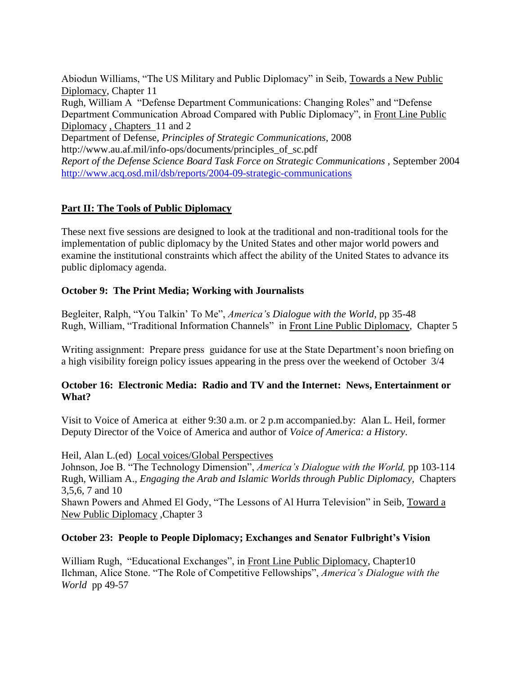Abiodun Williams, "The US Military and Public Diplomacy" in Seib, Towards a New Public Diplomacy, Chapter 11 Rugh, William A "Defense Department Communications: Changing Roles" and "Defense Department Communication Abroad Compared with Public Diplomacy", in Front Line Public Diplomacy , Chapters 11 and 2 Department of Defense, *Principles of Strategic Communications*, 2008 http://www.au.af.mil/info-ops/documents/principles\_of\_sc.pdf *Report of the Defense Science Board Task Force on Strategic Communications ,* September 2004 <http://www.acq.osd.mil/dsb/reports/2004-09-strategic-communications>

## **Part II: The Tools of Public Diplomacy**

These next five sessions are designed to look at the traditional and non-traditional tools for the implementation of public diplomacy by the United States and other major world powers and examine the institutional constraints which affect the ability of the United States to advance its public diplomacy agenda.

## **October 9: The Print Media; Working with Journalists**

Begleiter, Ralph, "You Talkin' To Me", *America's Dialogue with the World*, pp 35-48 Rugh, William, "Traditional Information Channels" in Front Line Public Diplomacy, Chapter 5

Writing assignment: Prepare press guidance for use at the State Department's noon briefing on a high visibility foreign policy issues appearing in the press over the weekend of October 3/4

#### **October 16: Electronic Media: Radio and TV and the Internet: News, Entertainment or What?**

Visit to Voice of America at either 9:30 a.m. or 2 p.m accompanied.by: Alan L. Heil, former Deputy Director of the Voice of America and author of *Voice of America: a History*.

Heil, Alan L.(ed) Local voices/Global Perspectives

Johnson, Joe B. "The Technology Dimension", *America's Dialogue with the World,* pp 103-114 Rugh, William A., *Engaging the Arab and Islamic Worlds through Public Diplomacy*, Chapters 3,5,6, 7 and 10

Shawn Powers and Ahmed El Gody, "The Lessons of Al Hurra Television" in Seib, Toward a New Public Diplomacy ,Chapter 3

#### **October 23: People to People Diplomacy; Exchanges and Senator Fulbright's Vision**

William Rugh, "Educational Exchanges", in Front Line Public Diplomacy, Chapter10 Ilchman, Alice Stone. "The Role of Competitive Fellowships", *America's Dialogue with the World* pp 49-57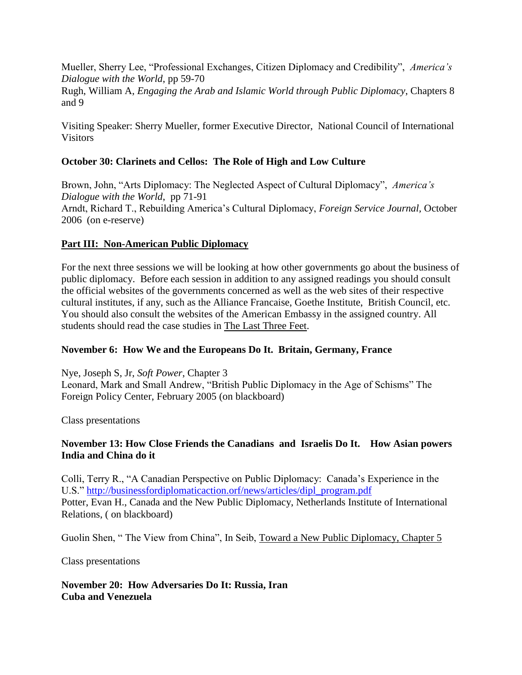Mueller, Sherry Lee, "Professional Exchanges, Citizen Diplomacy and Credibility", *America's Dialogue with the World*, pp 59-70 Rugh, William A, *Engaging the Arab and Islamic World through Public Diplomacy*, Chapters 8 and 9

Visiting Speaker: Sherry Mueller, former Executive Director, National Council of International **Visitors** 

## **October 30: Clarinets and Cellos: The Role of High and Low Culture**

Brown, John, "Arts Diplomacy: The Neglected Aspect of Cultural Diplomacy", *America's Dialogue with the World*, pp 71-91 Arndt, Richard T., Rebuilding America's Cultural Diplomacy, *Foreign Service Journal,* October 2006 (on e-reserve)

## **Part III: Non-American Public Diplomacy**

For the next three sessions we will be looking at how other governments go about the business of public diplomacy. Before each session in addition to any assigned readings you should consult the official websites of the governments concerned as well as the web sites of their respective cultural institutes, if any, such as the Alliance Francaise, Goethe Institute, British Council, etc. You should also consult the websites of the American Embassy in the assigned country. All students should read the case studies in The Last Three Feet.

## **November 6: How We and the Europeans Do It. Britain, Germany, France**

Nye, Joseph S, Jr, *Soft Power*, Chapter 3 Leonard, Mark and Small Andrew, "British Public Diplomacy in the Age of Schisms" The Foreign Policy Center, February 2005 (on blackboard)

Class presentations

## **November 13: How Close Friends the Canadians and Israelis Do It. How Asian powers India and China do it**

Colli, Terry R., "A Canadian Perspective on Public Diplomacy: Canada's Experience in the U.S." [http://businessfordiplomaticaction.orf/news/articles/dipl\\_program.pdf](http://businessfordiplomaticaction.orf/news/articles/dipl_program.pdf) Potter, Evan H., Canada and the New Public Diplomacy, Netherlands Institute of International Relations, ( on blackboard)

Guolin Shen, " The View from China", In Seib, Toward a New Public Diplomacy, Chapter 5

Class presentations

**November 20: How Adversaries Do It: Russia, Iran Cuba and Venezuela**